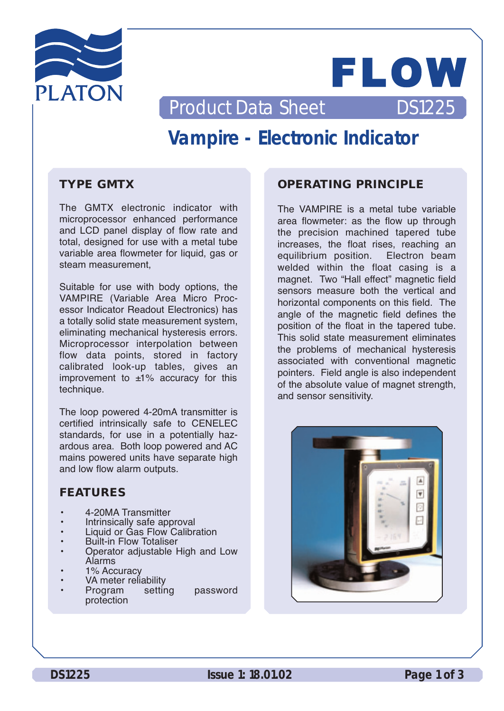



Product Data Sheet DS1225

# **Vampire - Electronic Indicator**

## **TYPE GMTX**

The GMTX electronic indicator with microprocessor enhanced performance and LCD panel display of flow rate and total, designed for use with a metal tube variable area flowmeter for liquid, gas or steam measurement,

Suitable for use with body options, the VAMPIRE (Variable Area Micro Processor Indicator Readout Electronics) has a totally solid state measurement system, eliminating mechanical hysteresis errors. Microprocessor interpolation between flow data points, stored in factory calibrated look-up tables, gives an improvement to  $±1\%$  accuracy for this technique.

The loop powered 4-20mA transmitter is certified intrinsically safe to CENELEC standards, for use in a potentially hazardous area. Both loop powered and AC mains powered units have separate high and low flow alarm outputs.

## **FEATURES**

- 4-20MA Transmitter
- Intrinsically safe approval
- Liquid or Gas Flow Calibration Built-in Flow Totaliser
- 
- Operator adjustable High and Low<br>Alarms
- 1% Accuracy
- VA meter reliability<br>Program setting
- Program setting password protection

## **OPERATING PRINCIPLE**

The VAMPIRE is a metal tube variable area flowmeter: as the flow up through the precision machined tapered tube increases, the float rises, reaching an equilibrium position. Electron beam welded within the float casing is a magnet. Two "Hall effect" magnetic field sensors measure both the vertical and horizontal components on this field. The angle of the magnetic field defines the position of the float in the tapered tube. This solid state measurement eliminates the problems of mechanical hysteresis associated with conventional magnetic pointers. Field angle is also independent of the absolute value of magnet strength, and sensor sensitivity.

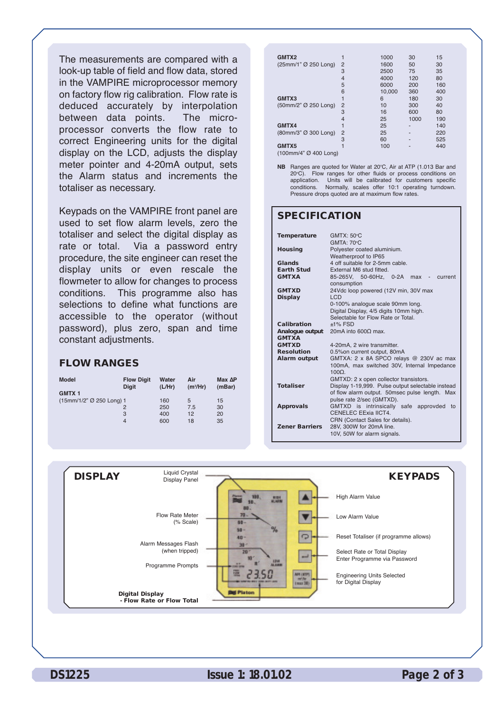The measurements are compared with a look-up table of field and flow data, stored in the VAMPIRE microprocessor memory on factory flow rig calibration. Flow rate is deduced accurately by interpolation between data points. The microprocessor converts the flow rate to correct Engineering units for the digital display on the LCD, adjusts the display meter pointer and 4-20mA output, sets the Alarm status and increments the totaliser as necessary.

Keypads on the VAMPIRE front panel are used to set flow alarm levels, zero the totaliser and select the digital display as rate or total. Via a password entry procedure, the site engineer can reset the display units or even rescale the flowmeter to allow for changes to process conditions. This programme also has selections to define what functions are accessible to the operator (without password), plus zero, span and time constant adjustments.

#### **FLOW RANGES**

| <b>Model</b><br><b>GMTX1</b> | <b>Flow Digit</b><br><b>Digit</b> | Water<br>(L/Hr) | Air<br>$(m^3/Hr)$ | Max AP<br>(mBar) |
|------------------------------|-----------------------------------|-----------------|-------------------|------------------|
| (15mm/1/2" Ø 250 Long) 1     |                                   | 160             | 5                 | 15               |
|                              | 2                                 | 250             | 7.5               | 30               |
|                              | 3                                 | 400             | 12                | 20               |
|                              | $\overline{4}$                    | 600             | 18                | 35               |
|                              |                                   |                 |                   |                  |

| GMTX2                 |                | 1000   | 30   | 15  |
|-----------------------|----------------|--------|------|-----|
| (25mm/1" Ø 250 Long)  | 2              | 1600   | 50   | 30  |
|                       | 3              | 2500   | 75   | 35  |
|                       | 4              | 4000   | 120  | 80  |
|                       | 5              | 6000   | 200  | 160 |
|                       | 6              | 10,000 | 360  | 400 |
| GMTX3                 |                | 6      | 180  | 30  |
| (50mm/2" Ø 250 Long)  | $\overline{2}$ | 10     | 300  | 40  |
|                       | 3              | 16     | 600  | 80  |
|                       | 4              | 25     | 1000 | 190 |
| GMTX4                 |                | 25     |      | 140 |
| (80mm/3" Ø 300 Long)  | $\overline{2}$ | 25     |      | 220 |
|                       | 3              | 60     |      | 525 |
| GMTX5                 |                | 100    |      | 440 |
| (100mm/4" Ø 400 Long) |                |        |      |     |

**NB** Ranges are quoted for Water at 20°C, Air at ATP (1.013 Bar and 20°C). Flow ranges for other fluids or process conditions on application. Units will be calibrated for customers specific conditions. Normally, scales offer 10:1 operating turndown. Pressure drops quoted are at maximum flow rates.

#### **SPECIFICATION**

| <b>Temperature</b>    | <b>GMTX: 50°C</b><br><b>GMTA: 70 °C</b>           |
|-----------------------|---------------------------------------------------|
|                       |                                                   |
| <b>Housing</b>        | Polyester coated aluminium.                       |
|                       | Weatherproof to IP65                              |
| Glands                | 4 off suitable for 2-5mm cable.                   |
| <b>Earth Stud</b>     | External M6 stud fitted.                          |
| <b>GMTXA</b>          | 85-265V. 50-60Hz. 0-2A<br>$max -$<br>current      |
|                       | consumption                                       |
| <b>GMTXD</b>          | 24Vdc loop powered (12V min, 30V max              |
| <b>Display</b>        | I CD                                              |
|                       | 0-100% analogue scale 90mm long.                  |
|                       | Digital Display, 4/5 digits 10mm high.            |
|                       | Selectable for Flow Rate or Total.                |
| Calibration           | $±1\%$ FSD                                        |
| Analoque output       | 20mA into $600Ω$ max.                             |
| <b>GMTXA</b>          |                                                   |
| <b>GMTXD</b>          | 4-20mA, 2 wire transmitter.                       |
| <b>Resolution</b>     | 0.5% on current output, 80mA                      |
| Alarm output          | GMTXA: 2 x 8A SPCO relays @ 230V ac max           |
|                       | 100mA, max switched 30V, Internal Impedance       |
|                       | $100\Omega$ .                                     |
|                       | GMTXD: 2 x open collector transistors.            |
| <b>Totaliser</b>      | Display 1-19,999. Pulse output selectable instead |
|                       | of flow alarm output. 50msec pulse length. Max    |
|                       | pulse rate 2/sec (GMTXD).                         |
| <b>Approvals</b>      | GMTXD is intrinsically safe approvded<br>to       |
|                       | CENELEC EExia IICT4.                              |
|                       | CRN (Contact Sales for details).                  |
| <b>Zener Barriers</b> | 28V. 300W for 20mA line.                          |
|                       | 10V, 50W for alarm signals.                       |